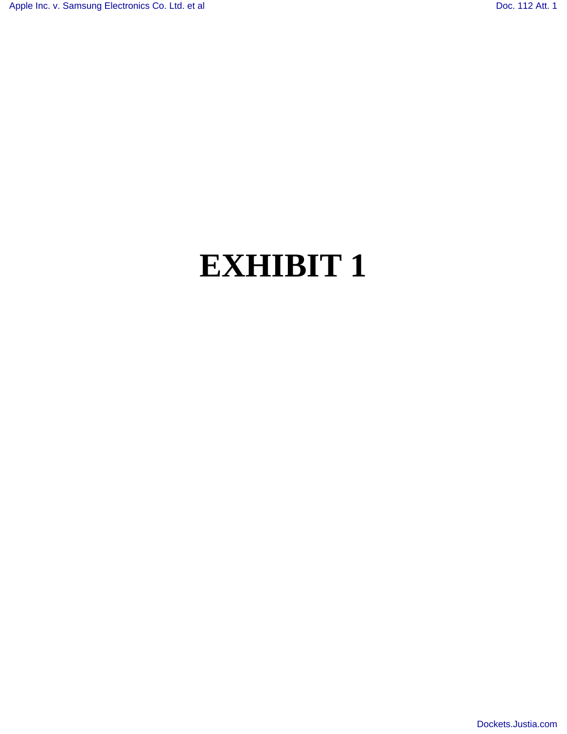# **EXHIBIT 1**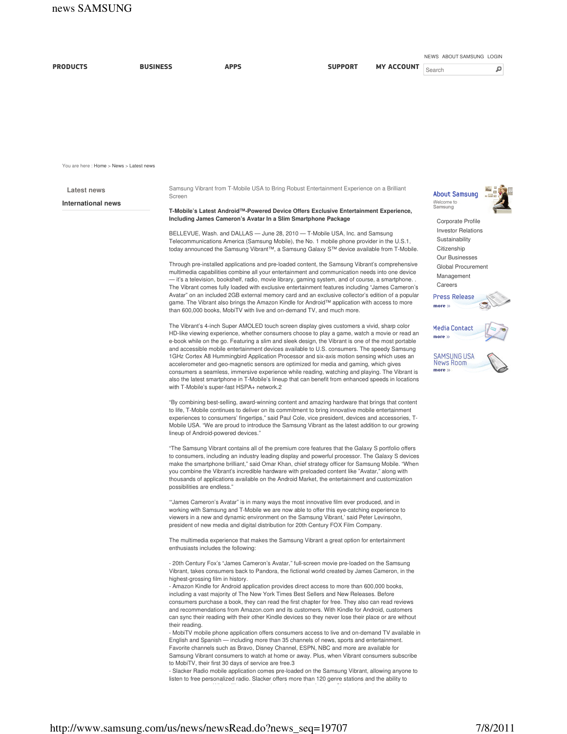|                                         |                 |                                                                                                                                                       |                                                                                                                                                                                                                                                                                                                                                                                                                                                                                                                                                                                                                                                                                                                                                                                                                                                                                                                                                                                                                                                                                                                                                                                                                                                                                          |                   | NEWS ABOUT SAMSUNG LOGIN                                                                                                                    |  |  |
|-----------------------------------------|-----------------|-------------------------------------------------------------------------------------------------------------------------------------------------------|------------------------------------------------------------------------------------------------------------------------------------------------------------------------------------------------------------------------------------------------------------------------------------------------------------------------------------------------------------------------------------------------------------------------------------------------------------------------------------------------------------------------------------------------------------------------------------------------------------------------------------------------------------------------------------------------------------------------------------------------------------------------------------------------------------------------------------------------------------------------------------------------------------------------------------------------------------------------------------------------------------------------------------------------------------------------------------------------------------------------------------------------------------------------------------------------------------------------------------------------------------------------------------------|-------------------|---------------------------------------------------------------------------------------------------------------------------------------------|--|--|
| <b>PRODUCTS</b>                         | <b>BUSINESS</b> | <b>APPS</b>                                                                                                                                           | <b>SUPPORT</b>                                                                                                                                                                                                                                                                                                                                                                                                                                                                                                                                                                                                                                                                                                                                                                                                                                                                                                                                                                                                                                                                                                                                                                                                                                                                           | <b>MY ACCOUNT</b> | ۹<br>Search                                                                                                                                 |  |  |
|                                         |                 |                                                                                                                                                       |                                                                                                                                                                                                                                                                                                                                                                                                                                                                                                                                                                                                                                                                                                                                                                                                                                                                                                                                                                                                                                                                                                                                                                                                                                                                                          |                   |                                                                                                                                             |  |  |
| You are here: Home > News > Latest news |                 |                                                                                                                                                       |                                                                                                                                                                                                                                                                                                                                                                                                                                                                                                                                                                                                                                                                                                                                                                                                                                                                                                                                                                                                                                                                                                                                                                                                                                                                                          |                   |                                                                                                                                             |  |  |
| Latest news                             |                 |                                                                                                                                                       | Samsung Vibrant from T-Mobile USA to Bring Robust Entertainment Experience on a Brilliant                                                                                                                                                                                                                                                                                                                                                                                                                                                                                                                                                                                                                                                                                                                                                                                                                                                                                                                                                                                                                                                                                                                                                                                                |                   | <b>About Samsung</b>                                                                                                                        |  |  |
| <b>International news</b>               | Screen          | T-Mobile's Latest Android™-Powered Device Offers Exclusive Entertainment Experience,<br>Including James Cameron's Avatar In a Slim Smartphone Package | Welcome to<br>Samsung<br>Corporate Profile<br><b>Investor Relations</b>                                                                                                                                                                                                                                                                                                                                                                                                                                                                                                                                                                                                                                                                                                                                                                                                                                                                                                                                                                                                                                                                                                                                                                                                                  |                   |                                                                                                                                             |  |  |
|                                         |                 | than 600,000 books, MobiTV with live and on-demand TV, and much more.                                                                                 | BELLEVUE, Wash. and DALLAS - June 28, 2010 - T-Mobile USA, Inc. and Samsung<br>Telecommunications America (Samsung Mobile), the No. 1 mobile phone provider in the U.S.1,<br>today announced the Samsung Vibrant™, a Samsung Galaxy S™ device available from T-Mobile.<br>Through pre-installed applications and pre-loaded content, the Samsung Vibrant's comprehensive<br>multimedia capabilities combine all your entertainment and communication needs into one device<br>- it's a television, bookshelf, radio, movie library, gaming system, and of course, a smartphone<br>The Vibrant comes fully loaded with exclusive entertainment features including "James Cameron's<br>Avatar" on an included 2GB external memory card and an exclusive collector's edition of a popular<br>game. The Vibrant also brings the Amazon Kindle for Android™ application with access to more                                                                                                                                                                                                                                                                                                                                                                                                   |                   | Sustainability<br>Citizenship<br><b>Our Businesses</b><br>Global Procurement<br>Management<br>Careers<br><b>Press Release</b><br>more $\gg$ |  |  |
|                                         |                 | with T-Mobile's super-fast HSPA+ network.2                                                                                                            | The Vibrant's 4-inch Super AMOLED touch screen display gives customers a vivid, sharp color<br>HD-like viewing experience, whether consumers choose to play a game, watch a movie or read an<br>e-book while on the go. Featuring a slim and sleek design, the Vibrant is one of the most portable<br>and accessible mobile entertainment devices available to U.S. consumers. The speedy Samsung<br>1GHz Cortex A8 Hummingbird Application Processor and six-axis motion sensing which uses an<br>accelerometer and geo-magnetic sensors are optimized for media and gaming, which gives<br>consumers a seamless, immersive experience while reading, watching and playing. The Vibrant is<br>also the latest smartphone in T-Mobile's lineup that can benefit from enhanced speeds in locations                                                                                                                                                                                                                                                                                                                                                                                                                                                                                        |                   | Media Contact<br>more $\gg$<br>SAMSUNG USA<br>News Room<br>more »                                                                           |  |  |
|                                         |                 | lineup of Android-powered devices."                                                                                                                   | "By combining best-selling, award-winning content and amazing hardware that brings that content<br>to life, T-Mobile continues to deliver on its commitment to bring innovative mobile entertainment<br>experiences to consumers' fingertips," said Paul Cole, vice president, devices and accessories, T-<br>Mobile USA. "We are proud to introduce the Samsung Vibrant as the latest addition to our growing                                                                                                                                                                                                                                                                                                                                                                                                                                                                                                                                                                                                                                                                                                                                                                                                                                                                           |                   |                                                                                                                                             |  |  |
|                                         |                 | possibilities are endless."                                                                                                                           | "The Samsung Vibrant contains all of the premium core features that the Galaxy S portfolio offers<br>to consumers, including an industry leading display and powerful processor. The Galaxy S devices<br>make the smartphone brilliant," said Omar Khan, chief strategy officer for Samsung Mobile. "When<br>you combine the Vibrant's incredible hardware with preloaded content like "Avatar," along with<br>thousands of applications available on the Android Market, the entertainment and customization                                                                                                                                                                                                                                                                                                                                                                                                                                                                                                                                                                                                                                                                                                                                                                            |                   |                                                                                                                                             |  |  |
|                                         |                 |                                                                                                                                                       | "James Cameron's Avatar" is in many ways the most innovative film ever produced, and in<br>working with Samsung and T-Mobile we are now able to offer this eye-catching experience to<br>viewers in a new and dynamic environment on the Samsung Vibrant,' said Peter Levinsohn,<br>president of new media and digital distribution for 20th Century FOX Film Company.                                                                                                                                                                                                                                                                                                                                                                                                                                                                                                                                                                                                                                                                                                                                                                                                                                                                                                                   |                   |                                                                                                                                             |  |  |
|                                         |                 | enthusiasts includes the following:                                                                                                                   | The multimedia experience that makes the Samsung Vibrant a great option for entertainment                                                                                                                                                                                                                                                                                                                                                                                                                                                                                                                                                                                                                                                                                                                                                                                                                                                                                                                                                                                                                                                                                                                                                                                                |                   |                                                                                                                                             |  |  |
|                                         | their reading.  | highest-grossing film in history.<br>to MobiTV, their first 30 days of service are free.3                                                             | - 20th Century Fox's "James Cameron's Avatar," full-screen movie pre-loaded on the Samsung<br>Vibrant, takes consumers back to Pandora, the fictional world created by James Cameron, in the<br>- Amazon Kindle for Android application provides direct access to more than 600,000 books,<br>including a vast majority of The New York Times Best Sellers and New Releases. Before<br>consumers purchase a book, they can read the first chapter for free. They also can read reviews<br>and recommendations from Amazon.com and its customers. With Kindle for Android, customers<br>can sync their reading with their other Kindle devices so they never lose their place or are without<br>- MobiTV mobile phone application offers consumers access to live and on-demand TV available in<br>English and Spanish — including more than 35 channels of news, sports and entertainment.<br>Favorite channels such as Bravo, Disney Channel, ESPN, NBC and more are available for<br>Samsung Vibrant consumers to watch at home or away. Plus, when Vibrant consumers subscribe<br>- Slacker Radio mobile application comes pre-loaded on the Samsung Vibrant, allowing anyone to<br>listen to free personalized radio. Slacker offers more than 120 genre stations and the ability to |                   |                                                                                                                                             |  |  |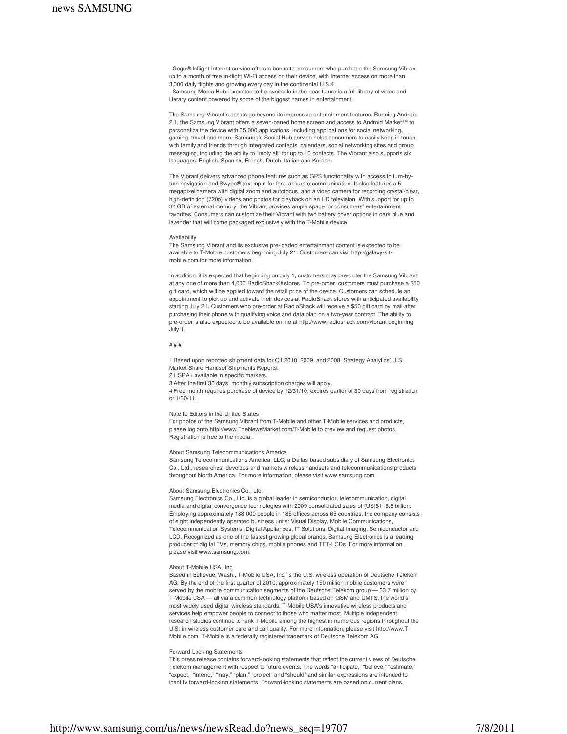- Gogo® Inflight Internet service offers a bonus to consumers who purchase the Samsung Vibrant: up to a month of free in-flight Wi-Fi access on their device, with Internet access on more than 3,000 daily flights and growing every day in the continental U.S.4 - Samsung Media Hub, expected to be available in the near future,is a full library of video and literary content powered by some of the biggest names in entertainment.

The Samsung Vibrant's assets go beyond its impressive entertainment features. Running Android 2.1, the Samsung Vibrant offers a seven-paned home screen and access to Android Market™ to personalize the device with 65,000 applications, including applications for social networking, gaming, travel and more. Samsung's Social Hub service helps consumers to easily keep in touch with family and friends through integrated contacts, calendars, social networking sites and group messaging, including the ability to "reply all" for up to 10 contacts. The Vibrant also supports six languages: English, Spanish, French, Dutch, Italian and Korean.

The Vibrant delivers advanced phone features such as GPS functionality with access to turn-byturn navigation and Swype® text input for fast, accurate communication. It also features a 5 megapixel camera with digital zoom and autofocus, and a video camera for recording crystal-clear, high-definition (720p) videos and photos for playback on an HD television. With support for up to 32 GB of external memory, the Vibrant provides ample space for consumers' entertainment favorites. Consumers can customize their Vibrant with two battery cover options in dark blue and lavender that will come packaged exclusively with the T-Mobile device.

### Availability

The Samsung Vibrant and its exclusive pre-loaded entertainment content is expected to be available to T-Mobile customers beginning July 21. Customers can visit http://galaxy-s.tmobile.com for more information.

In addition, it is expected that beginning on July 1, customers may pre-order the Samsung Vibrant at any one of more than 4,000 RadioShack® stores. To pre-order, customers must purchase a \$50 gift card, which will be applied toward the retail price of the device. Customers can schedule an appointment to pick up and activate their devices at RadioShack stores with anticipated availability starting July 21. Customers who pre-order at RadioShack will receive a \$50 gift card by mail after purchasing their phone with qualifying voice and data plan on a two-year contract. The ability to pre-order is also expected to be available online at http://www.radioshack.com/vibrant beginning July 1.

# # # #

1 Based upon reported shipment data for Q1 2010, 2009, and 2008, Strategy Analytics' U.S. Market Share Handset Shipments Reports.

2 HSPA+ available in specific markets.

3 After the first 30 days, monthly subscription charges will apply.

4 Free month requires purchase of device by 12/31/10; expires earlier of 30 days from registration or 1/30/11.

## Note to Editors in the United States

For photos of the Samsung Vibrant from T-Mobile and other T-Mobile services and products, please log onto http://www.TheNewsMarket.com/T-Mobile to preview and request photos. Registration is free to the media.

# About Samsung Telecommunications America

Samsung Telecommunications America, LLC, a Dallas-based subsidiary of Samsung Electronics Co., Ltd., researches, develops and markets wireless handsets and telecommunications products throughout North America. For more information, please visit www.samsung.com.

### About Samsung Electronics Co., Ltd.

Samsung Electronics Co., Ltd. is a global leader in semiconductor, telecommunication, digital media and digital convergence technologies with 2009 consolidated sales of (US)\$116.8 billion. Employing approximately 188,000 people in 185 offices across 65 countries, the company consists of eight independently operated business units: Visual Display, Mobile Communications, Telecommunication Systems, Digital Appliances, IT Solutions, Digital Imaging, Semiconductor and LCD. Recognized as one of the fastest growing global brands, Samsung Electronics is a leading producer of digital TVs, memory chips, mobile phones and TFT-LCDs. For more information, please visit www.samsung.com.

# About T-Mobile USA, Inc.

Based in Bellevue, Wash., T-Mobile USA, Inc. is the U.S. wireless operation of Deutsche Telekom AG. By the end of the first quarter of 2010, approximately 150 million mobile customers were served by the mobile communication segments of the Deutsche Telekom group — 33.7 million by T-Mobile USA — all via a common technology platform based on GSM and UMTS, the world's most widely used digital wireless standards. T-Mobile USA's innovative wireless products and services help empower people to connect to those who matter most. Multiple independent research studies continue to rank T-Mobile among the highest in numerous regions throughout the U.S. in wireless customer care and call quality. For more information, please visit http://www.T-Mobile.com. T-Mobile is a federally registered trademark of Deutsche Telekom AG.

### Forward-Looking Statements

This press release contains forward-looking statements that reflect the current views of Deutsche Telekom management with respect to future events. The words "anticipate," "believe," "estimate," "expect," "intend," "may," "plan," "project" and "should" and similar expressions are intended to identify forward-looking statements. Forward-looking statements are based on current plans,